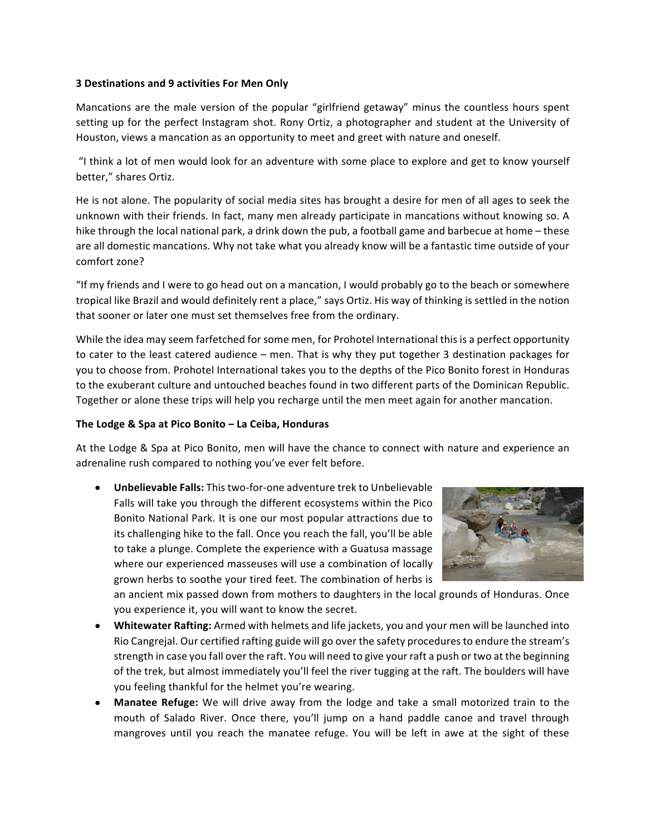## **3 Destinations and 9 activities For Men Only**

Mancations are the male version of the popular "girlfriend getaway" minus the countless hours spent setting up for the perfect Instagram shot. Rony Ortiz, a photographer and student at the University of Houston, views a mancation as an opportunity to meet and greet with nature and oneself.

"I think a lot of men would look for an adventure with some place to explore and get to know yourself better," shares Ortiz. 

He is not alone. The popularity of social media sites has brought a desire for men of all ages to seek the unknown with their friends. In fact, many men already participate in mancations without knowing so. A hike through the local national park, a drink down the pub, a football game and barbecue at home - these are all domestic mancations. Why not take what you already know will be a fantastic time outside of your comfort zone?

"If my friends and I were to go head out on a mancation, I would probably go to the beach or somewhere tropical like Brazil and would definitely rent a place," says Ortiz. His way of thinking is settled in the notion that sooner or later one must set themselves free from the ordinary.

While the idea may seem farfetched for some men, for Prohotel International this is a perfect opportunity to cater to the least catered audience – men. That is why they put together 3 destination packages for you to choose from. Prohotel International takes you to the depths of the Pico Bonito forest in Honduras to the exuberant culture and untouched beaches found in two different parts of the Dominican Republic. Together or alone these trips will help you recharge until the men meet again for another mancation.

## The Lodge & Spa at Pico Bonito – La Ceiba, Honduras

At the Lodge & Spa at Pico Bonito, men will have the chance to connect with nature and experience an adrenaline rush compared to nothing you've ever felt before.

**Unbelievable Falls:** This two-for-one adventure trek to Unbelievable Falls will take you through the different ecosystems within the Pico Bonito National Park. It is one our most popular attractions due to its challenging hike to the fall. Once you reach the fall, you'll be able to take a plunge. Complete the experience with a Guatusa massage where our experienced masseuses will use a combination of locally grown herbs to soothe your tired feet. The combination of herbs is



an ancient mix passed down from mothers to daughters in the local grounds of Honduras. Once you experience it, you will want to know the secret.

- Whitewater Rafting: Armed with helmets and life jackets, you and your men will be launched into Rio Cangrejal. Our certified rafting guide will go over the safety procedures to endure the stream's strength in case you fall over the raft. You will need to give your raft a push or two at the beginning of the trek, but almost immediately you'll feel the river tugging at the raft. The boulders will have you feeling thankful for the helmet you're wearing.
- **Manatee Refuge:** We will drive away from the lodge and take a small motorized train to the mouth of Salado River. Once there, you'll jump on a hand paddle canoe and travel through mangroves until you reach the manatee refuge. You will be left in awe at the sight of these